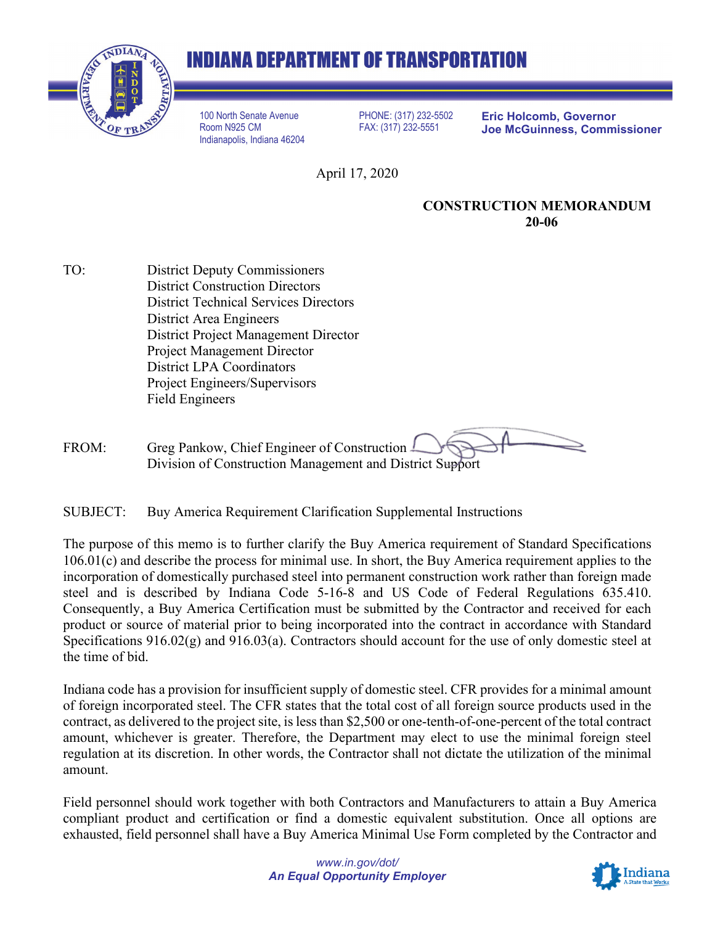## **INDIANA DEPARTMENT OF TRANSPORTATION**



100 North Senate Avenue Room N925 CM Indianapolis, Indiana 46204

PHONE: (317) 232-5502 FAX: (317) 232-5551

**Eric Holcomb, Governor Joe McGuinness, Commissioner**

April 17, 2020

## **CONSTRUCTION MEMORANDUM 20-06**

TO: District Deputy Commissioners District Construction Directors District Technical Services Directors District Area Engineers District Project Management Director Project Management Director District LPA Coordinators Project Engineers/Supervisors Field Engineers

FROM: Greg Pankow, Chief Engineer of Construction Division of Construction Management and District Support

SUBJECT: Buy America Requirement Clarification Supplemental Instructions

The purpose of this memo is to further clarify the Buy America requirement of Standard Specifications 106.01(c) and describe the process for minimal use. In short, the Buy America requirement applies to the incorporation of domestically purchased steel into permanent construction work rather than foreign made steel and is described by Indiana Code 5-16-8 and US Code of Federal Regulations 635.410. Consequently, a Buy America Certification must be submitted by the Contractor and received for each product or source of material prior to being incorporated into the contract in accordance with Standard Specifications 916.02(g) and 916.03(a). Contractors should account for the use of only domestic steel at the time of bid.

Indiana code has a provision for insufficient supply of domestic steel. CFR provides for a minimal amount of foreign incorporated steel. The CFR states that the total cost of all foreign source products used in the contract, as delivered to the project site, is less than \$2,500 or one-tenth-of-one-percent of the total contract amount, whichever is greater. Therefore, the Department may elect to use the minimal foreign steel regulation at its discretion. In other words, the Contractor shall not dictate the utilization of the minimal amount.

Field personnel should work together with both Contractors and Manufacturers to attain a Buy America compliant product and certification or find a domestic equivalent substitution. Once all options are exhausted, field personnel shall have a Buy America Minimal Use Form completed by the Contractor and